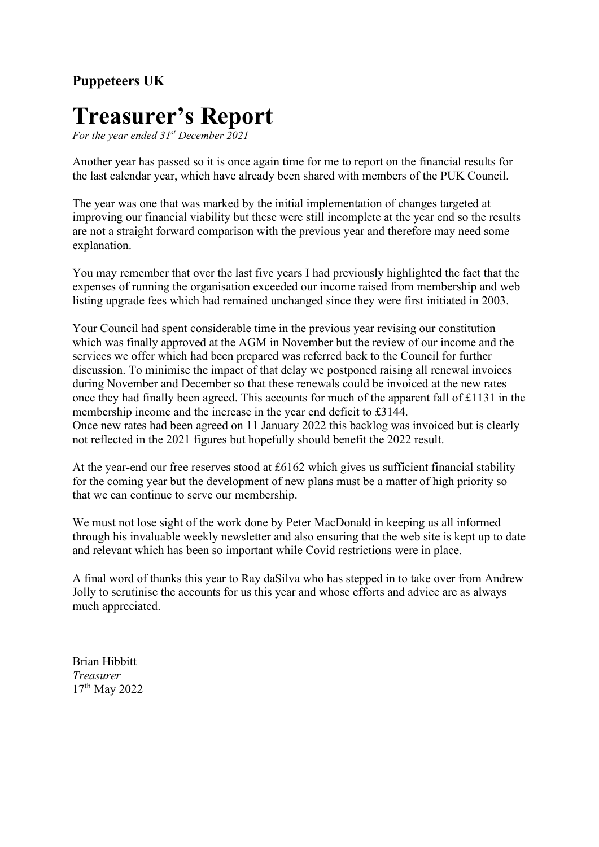### **Puppeteers UK**

# **Treasurer's Report**

*For the year ended 31st December 2021*

Another year has passed so it is once again time for me to report on the financial results for the last calendar year, which have already been shared with members of the PUK Council.

The year was one that was marked by the initial implementation of changes targeted at improving our financial viability but these were still incomplete at the year end so the results are not a straight forward comparison with the previous year and therefore may need some explanation.

You may remember that over the last five years I had previously highlighted the fact that the expenses of running the organisation exceeded our income raised from membership and web listing upgrade fees which had remained unchanged since they were first initiated in 2003.

Your Council had spent considerable time in the previous year revising our constitution which was finally approved at the AGM in November but the review of our income and the services we offer which had been prepared was referred back to the Council for further discussion. To minimise the impact of that delay we postponed raising all renewal invoices during November and December so that these renewals could be invoiced at the new rates once they had finally been agreed. This accounts for much of the apparent fall of £1131 in the membership income and the increase in the year end deficit to £3144. Once new rates had been agreed on 11 January 2022 this backlog was invoiced but is clearly not reflected in the 2021 figures but hopefully should benefit the 2022 result.

At the year-end our free reserves stood at £6162 which gives us sufficient financial stability for the coming year but the development of new plans must be a matter of high priority so that we can continue to serve our membership.

We must not lose sight of the work done by Peter MacDonald in keeping us all informed through his invaluable weekly newsletter and also ensuring that the web site is kept up to date and relevant which has been so important while Covid restrictions were in place.

A final word of thanks this year to Ray daSilva who has stepped in to take over from Andrew Jolly to scrutinise the accounts for us this year and whose efforts and advice are as always much appreciated.

Brian Hibbitt *Treasurer* 17th May 2022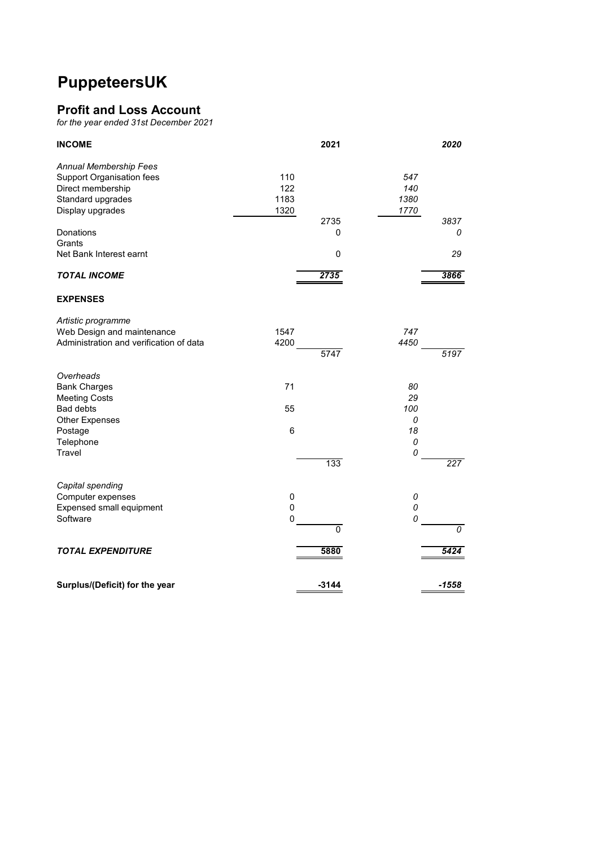### **PuppeteersUK**

#### **Profit and Loss Account**

*for the year ended 31st December 2021*

| <b>INCOME</b>                                                                                                                 | 2021                                            | 2020                            |
|-------------------------------------------------------------------------------------------------------------------------------|-------------------------------------------------|---------------------------------|
| Annual Membership Fees<br>Support Organisation fees<br>Direct membership<br>Standard upgrades<br>Display upgrades             | 110<br>122<br>1183<br>1320                      | 547<br>140<br>1380<br>1770      |
| Donations<br>Grants<br>Net Bank Interest earnt                                                                                | 2735<br>0<br>0                                  | 3837<br>0<br>29                 |
| <b>TOTAL INCOME</b>                                                                                                           | 2735                                            | 3866                            |
| <b>EXPENSES</b>                                                                                                               |                                                 |                                 |
| Artistic programme<br>Web Design and maintenance<br>Administration and verification of data                                   | 1547<br>4200<br>5747                            | 747<br>4450<br>5197             |
| Overheads<br><b>Bank Charges</b><br><b>Meeting Costs</b><br><b>Bad debts</b><br><b>Other Expenses</b><br>Postage<br>Telephone | 71<br>55<br>6                                   | 80<br>29<br>100<br>0<br>18<br>0 |
| Travel                                                                                                                        | 133                                             | 0<br>227                        |
| Capital spending<br>Computer expenses<br><b>Expensed small equipment</b><br>Software                                          | $\mathbf 0$<br>$\pmb{0}$<br>0<br>$\overline{0}$ | 0<br>0<br>0<br>$\overline{o}$   |
| <b>TOTAL EXPENDITURE</b>                                                                                                      | 5880                                            | 5424                            |
| Surplus/(Deficit) for the year                                                                                                | $-3144$                                         | $-1558$                         |